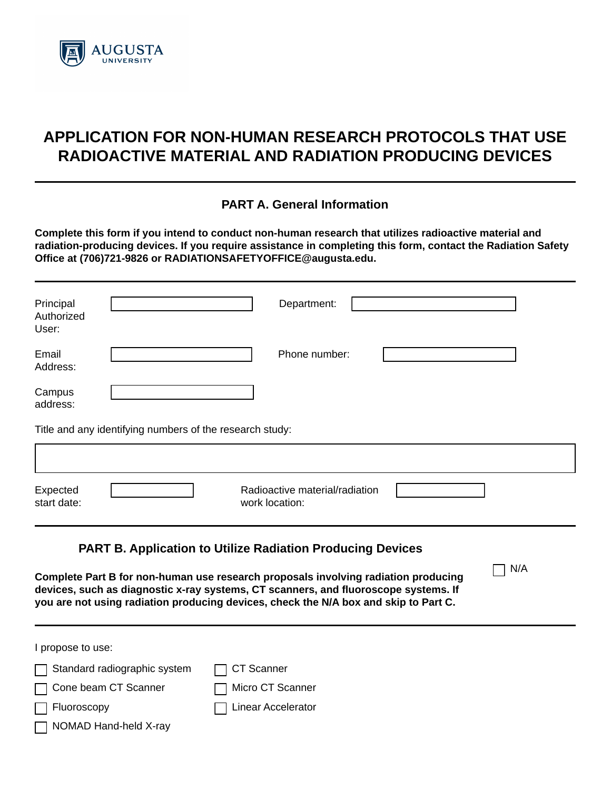

# **APPLICATION FOR NON-HUMAN RESEARCH PROTOCOLS THAT USE RADIOACTIVE MATERIAL AND RADIATION PRODUCING DEVICES**

## **PART A. General Information**

**Complete this form if you intend to conduct non-human research that utilizes radioactive material and radiation-producing devices. If you require assistance in completing this form, contact the Radiation Safety Office at (706)721-9826 or RADIATIONSAFETYOFFICE@augusta.edu.** 

| Principal<br>Authorized<br>User: |                                                                                                                                                                                                                                                                                                                                        |                   | Department:                                      |                      |     |
|----------------------------------|----------------------------------------------------------------------------------------------------------------------------------------------------------------------------------------------------------------------------------------------------------------------------------------------------------------------------------------|-------------------|--------------------------------------------------|----------------------|-----|
| Email<br>Address:                |                                                                                                                                                                                                                                                                                                                                        |                   | Phone number:                                    |                      |     |
| Campus<br>address:               |                                                                                                                                                                                                                                                                                                                                        |                   |                                                  |                      |     |
|                                  | Title and any identifying numbers of the research study:                                                                                                                                                                                                                                                                               |                   |                                                  |                      |     |
|                                  |                                                                                                                                                                                                                                                                                                                                        |                   |                                                  |                      |     |
| Expected<br>start date:          |                                                                                                                                                                                                                                                                                                                                        |                   | Radioactive material/radiation<br>work location: | $\blacktriangledown$ |     |
|                                  | <b>PART B. Application to Utilize Radiation Producing Devices</b><br>Complete Part B for non-human use research proposals involving radiation producing<br>devices, such as diagnostic x-ray systems, CT scanners, and fluoroscope systems. If<br>you are not using radiation producing devices, check the N/A box and skip to Part C. |                   |                                                  |                      | N/A |
| I propose to use:                |                                                                                                                                                                                                                                                                                                                                        |                   |                                                  |                      |     |
|                                  | Standard radiographic system                                                                                                                                                                                                                                                                                                           | <b>CT Scanner</b> |                                                  |                      |     |
|                                  | Cone beam CT Scanner                                                                                                                                                                                                                                                                                                                   |                   | Micro CT Scanner                                 |                      |     |

Fluoroscopy Linear Accelerator

NOMAD Hand-held X-ray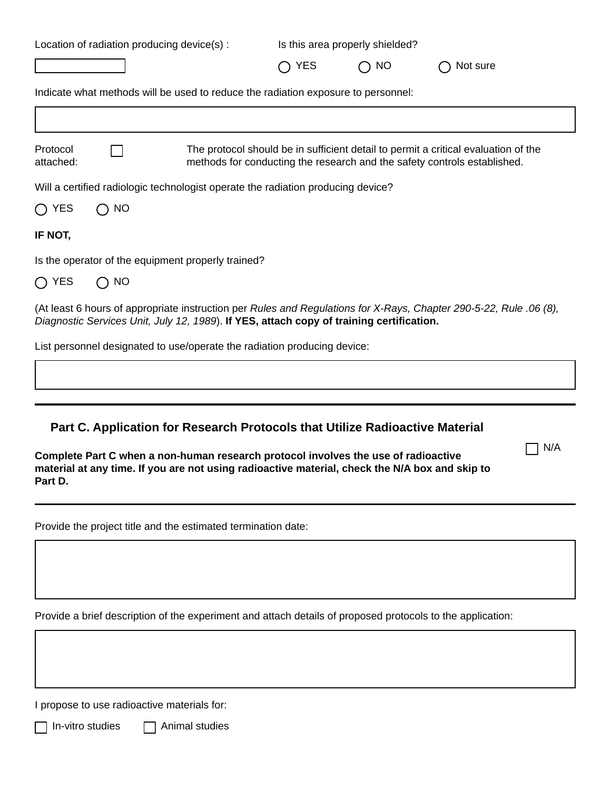|                       |           | Location of radiation producing device(s) :                                              |            | Is this area properly shielded? |                                                                                                                                                                |
|-----------------------|-----------|------------------------------------------------------------------------------------------|------------|---------------------------------|----------------------------------------------------------------------------------------------------------------------------------------------------------------|
|                       |           |                                                                                          | <b>YES</b> | NO                              | Not sure                                                                                                                                                       |
|                       |           | Indicate what methods will be used to reduce the radiation exposure to personnel:        |            |                                 |                                                                                                                                                                |
|                       |           |                                                                                          |            |                                 |                                                                                                                                                                |
| Protocol<br>attached: |           |                                                                                          |            |                                 | The protocol should be in sufficient detail to permit a critical evaluation of the<br>methods for conducting the research and the safety controls established. |
|                       |           | Will a certified radiologic technologist operate the radiation producing device?         |            |                                 |                                                                                                                                                                |
| <b>YES</b>            | <b>NO</b> |                                                                                          |            |                                 |                                                                                                                                                                |
| IF NOT,               |           |                                                                                          |            |                                 |                                                                                                                                                                |
|                       |           | Is the operator of the equipment properly trained?                                       |            |                                 |                                                                                                                                                                |
| <b>YES</b>            | <b>NO</b> |                                                                                          |            |                                 |                                                                                                                                                                |
|                       |           | Diagnostic Services Unit, July 12, 1989). If YES, attach copy of training certification. |            |                                 | (At least 6 hours of appropriate instruction per Rules and Regulations for X-Rays, Chapter 290-5-22, Rule .06 (8),                                             |
|                       |           | List personnel designated to use/operate the radiation producing device:                 |            |                                 |                                                                                                                                                                |
|                       |           |                                                                                          |            |                                 |                                                                                                                                                                |
|                       |           |                                                                                          |            |                                 |                                                                                                                                                                |
|                       |           |                                                                                          |            |                                 |                                                                                                                                                                |

 $\Box$  N/A

## **Part C. Application for Research Protocols that Utilize Radioactive Material**

| Complete Part C when a non-human research protocol involves the use of radioactive             |
|------------------------------------------------------------------------------------------------|
| material at any time. If you are not using radioactive material, check the N/A box and skip to |
| Part D.                                                                                        |

Provide the project title and the estimated termination date:

Provide a brief description of the experiment and attach details of proposed protocols to the application:

I propose to use radioactive materials for:

 $\Box$  In-vitro studies  $\Box$  Animal studies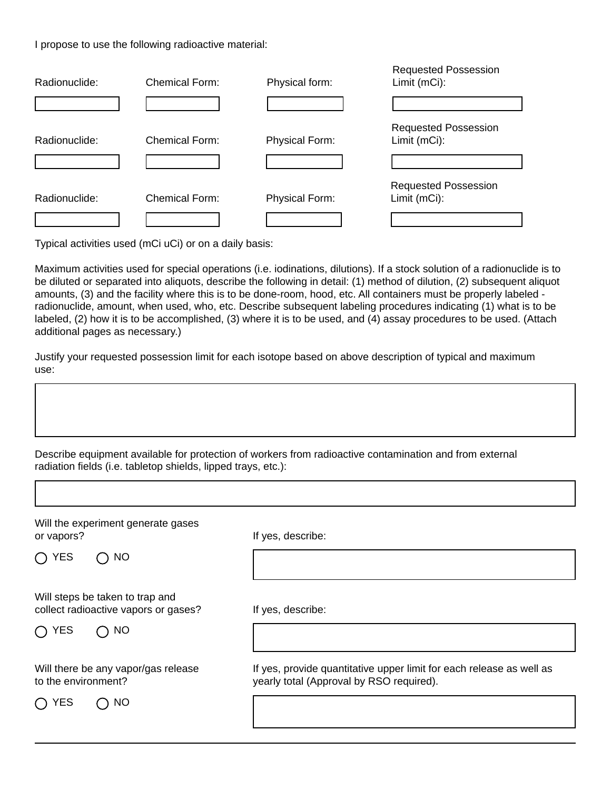I propose to use the following radioactive material:

| Radionuclide: | <b>Chemical Form:</b> | Physical form:        | <b>Requested Possession</b><br>Limit (mCi): |
|---------------|-----------------------|-----------------------|---------------------------------------------|
|               |                       |                       |                                             |
| Radionuclide: | Chemical Form:        | <b>Physical Form:</b> | <b>Requested Possession</b><br>Limit (mCi): |
|               |                       |                       |                                             |
| Radionuclide: | Chemical Form:        | <b>Physical Form:</b> | <b>Requested Possession</b><br>Limit (mCi): |
|               |                       |                       |                                             |

Typical activities used (mCi uCi) or on a daily basis:

Maximum activities used for special operations (i.e. iodinations, dilutions). If a stock solution of a radionuclide is to be diluted or separated into aliquots, describe the following in detail: (1) method of dilution, (2) subsequent aliquot amounts, (3) and the facility where this is to be done-room, hood, etc. All containers must be properly labeled radionuclide, amount, when used, who, etc. Describe subsequent labeling procedures indicating (1) what is to be labeled, (2) how it is to be accomplished, (3) where it is to be used, and (4) assay procedures to be used. (Attach additional pages as necessary.)

Justify your requested possession limit for each isotope based on above description of typical and maximum use:

Describe equipment available for protection of workers from radioactive contamination and from external radiation fields (i.e. tabletop shields, lipped trays, etc.):

| Will the experiment generate gases<br>or vapors?                        | If yes, describe:                                                                                                |
|-------------------------------------------------------------------------|------------------------------------------------------------------------------------------------------------------|
| $\bigcap$ YES<br>$\bigcap$ NO                                           |                                                                                                                  |
| Will steps be taken to trap and<br>collect radioactive vapors or gases? | If yes, describe:                                                                                                |
| <b>YES</b><br>NO                                                        |                                                                                                                  |
| Will there be any vapor/gas release<br>to the environment?              | If yes, provide quantitative upper limit for each release as well as<br>yearly total (Approval by RSO required). |
| YES<br>NO                                                               |                                                                                                                  |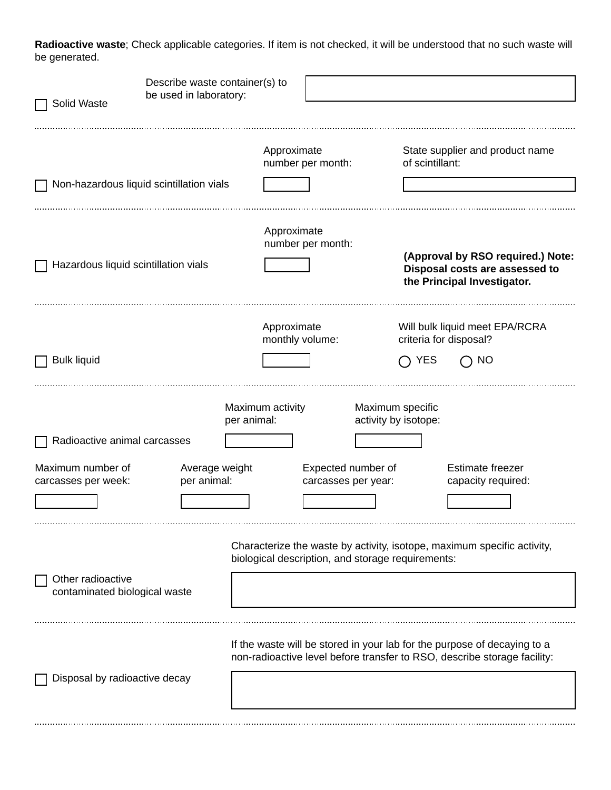**Radioactive waste**; Check applicable categories. If item is not checked, it will be understood that no such waste will be generated.

| Solid Waste                                        | Describe waste container(s) to<br>be used in laboratory: |                                                   |                                          |                                                                                                                                                      |
|----------------------------------------------------|----------------------------------------------------------|---------------------------------------------------|------------------------------------------|------------------------------------------------------------------------------------------------------------------------------------------------------|
| Non-hazardous liquid scintillation vials           |                                                          | Approximate<br>number per month:                  | of scintillant:                          | State supplier and product name                                                                                                                      |
| Hazardous liquid scintillation vials               |                                                          | Approximate<br>number per month:                  |                                          | (Approval by RSO required.) Note:<br>Disposal costs are assessed to<br>the Principal Investigator.                                                   |
| <b>Bulk liquid</b>                                 |                                                          | Approximate<br>monthly volume:                    | criteria for disposal?<br><b>YES</b>     | Will bulk liquid meet EPA/RCRA<br>NO                                                                                                                 |
| Radioactive animal carcasses                       | per animal:                                              | Maximum activity                                  | Maximum specific<br>activity by isotope: |                                                                                                                                                      |
| Maximum number of<br>carcasses per week:           | Average weight<br>per animal:                            | Expected number of<br>carcasses per year:         |                                          | Estimate freezer<br>capacity required:                                                                                                               |
| Other radioactive<br>contaminated biological waste |                                                          | biological description, and storage requirements: |                                          | Characterize the waste by activity, isotope, maximum specific activity,                                                                              |
| Disposal by radioactive decay                      |                                                          |                                                   |                                          | If the waste will be stored in your lab for the purpose of decaying to a<br>non-radioactive level before transfer to RSO, describe storage facility: |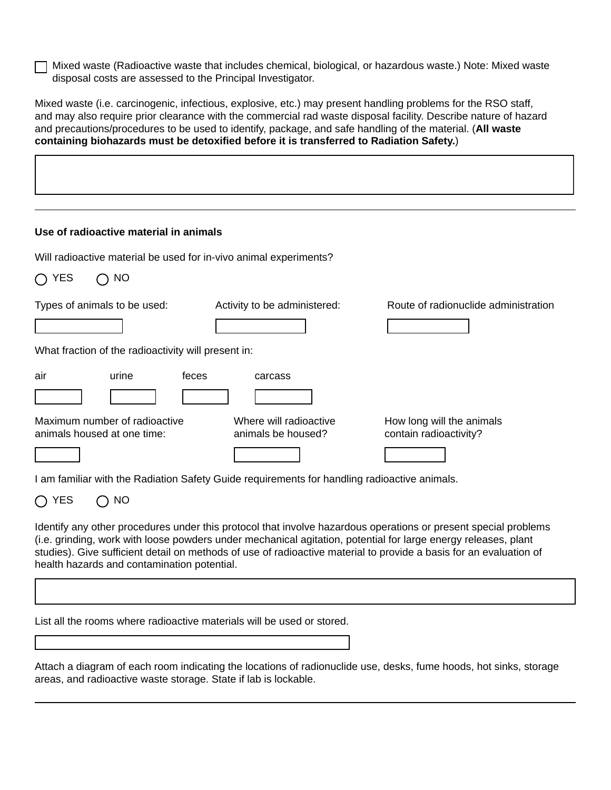Mixed waste (Radioactive waste that includes chemical, biological, or hazardous waste.) Note: Mixed waste disposal costs are assessed to the Principal Investigator.

Mixed waste (i.e. carcinogenic, infectious, explosive, etc.) may present handling problems for the RSO staff, and may also require prior clearance with the commercial rad waste disposal facility. Describe nature of hazard and precautions/procedures to be used to identify, package, and safe handling of the material. (**All waste containing biohazards must be detoxified before it is transferred to Radiation Safety.**)

Will radioactive material be used for in-vivo animal experiments?

| כ⊐ז ( )<br><b>IVU</b>                                        |                                              |                                                     |
|--------------------------------------------------------------|----------------------------------------------|-----------------------------------------------------|
| Types of animals to be used:                                 | Activity to be administered:                 | Route of radionuclide administration                |
|                                                              |                                              |                                                     |
| What fraction of the radioactivity will present in:          |                                              |                                                     |
| air<br>urine<br>feces                                        | carcass                                      |                                                     |
|                                                              |                                              |                                                     |
| Maximum number of radioactive<br>animals housed at one time: | Where will radioactive<br>animals be housed? | How long will the animals<br>contain radioactivity? |
|                                                              |                                              |                                                     |

I am familiar with the Radiation Safety Guide requirements for handling radioactive animals.

 $\bigcap$  YES  $\bigcap$  NO

YES NO

Identify any other procedures under this protocol that involve hazardous operations or present special problems (i.e. grinding, work with loose powders under mechanical agitation, potential for large energy releases, plant studies). Give sufficient detail on methods of use of radioactive material to provide a basis for an evaluation of health hazards and contamination potential.

List all the rooms where radioactive materials will be used or stored.

Attach a diagram of each room indicating the locations of radionuclide use, desks, fume hoods, hot sinks, storage areas, and radioactive waste storage. State if lab is lockable.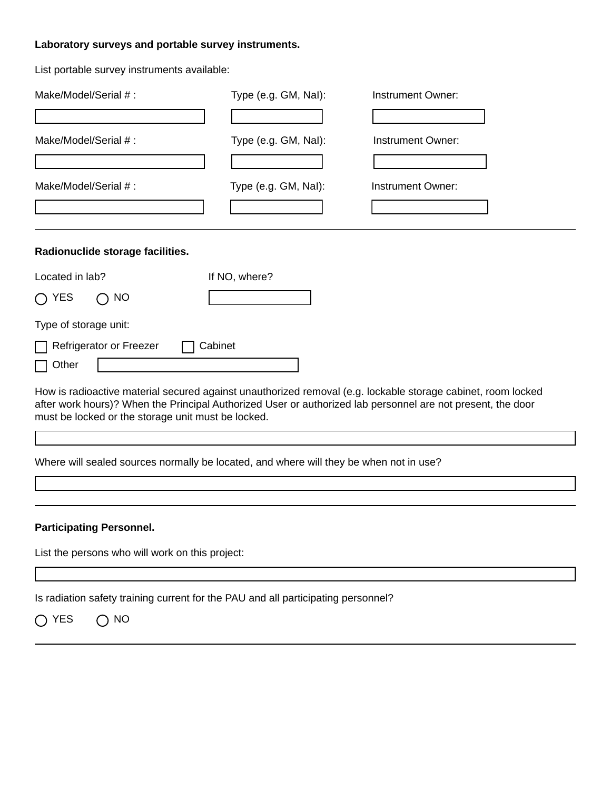### **Laboratory surveys and portable survey instruments.**

List portable survey instruments available:

| Make/Model/Serial #:                               | Type (e.g. GM, Nal): | Instrument Owner:                                                                                                                                                                                                           |
|----------------------------------------------------|----------------------|-----------------------------------------------------------------------------------------------------------------------------------------------------------------------------------------------------------------------------|
|                                                    |                      |                                                                                                                                                                                                                             |
| Make/Model/Serial #:                               | Type (e.g. GM, Nal): | Instrument Owner:                                                                                                                                                                                                           |
|                                                    |                      |                                                                                                                                                                                                                             |
| Make/Model/Serial #:                               | Type (e.g. GM, Nal): | Instrument Owner:                                                                                                                                                                                                           |
|                                                    |                      |                                                                                                                                                                                                                             |
| Radionuclide storage facilities.                   |                      |                                                                                                                                                                                                                             |
| Located in lab?                                    | If NO, where?        |                                                                                                                                                                                                                             |
| $\bigcap$ YES<br><b>NO</b>                         |                      |                                                                                                                                                                                                                             |
| Type of storage unit:                              |                      |                                                                                                                                                                                                                             |
| Refrigerator or Freezer                            | Cabinet              |                                                                                                                                                                                                                             |
| Other                                              |                      |                                                                                                                                                                                                                             |
| must be locked or the storage unit must be locked. |                      | How is radioactive material secured against unauthorized removal (e.g. lockable storage cabinet, room locked<br>after work hours)? When the Principal Authorized User or authorized lab personnel are not present, the door |

Where will sealed sources normally be located, and where will they be when not in use?

#### **Participating Personnel.**

List the persons who will work on this project:

Is radiation safety training current for the PAU and all participating personnel?